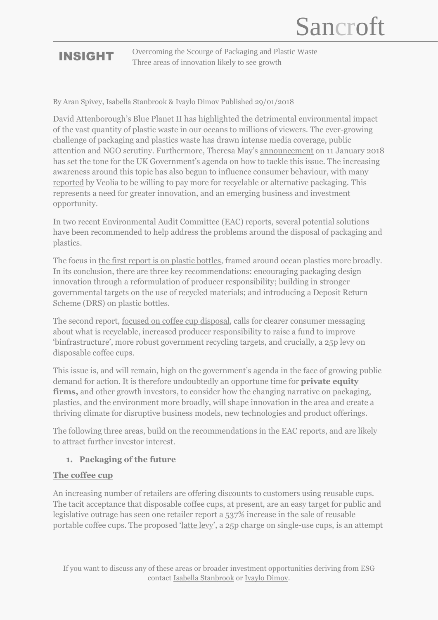## INSIGHT

Overcoming the Scourge of Packaging and Plastic Waste Three areas of innovation likely to see growth

By Aran Spivey, Isabella Stanbrook & Ivaylo Dimov Published 29/01/2018

David Attenborough's Blue Planet II has highlighted the detrimental environmental impact of the vast quantity of plastic waste in our oceans to millions of viewers. The ever-growing challenge of packaging and plastics waste has drawn intense media coverage, public attention and NGO scrutiny. Furthermore, Theresa May's [announcement](https://www.gov.uk/government/speeches/prime-ministers-speech-on-the-environment-11-january-2017) on 11 January 2018 has set the tone for the UK Government's agenda on how to tackle this issue. The increasing awareness around this topic has also begun to influence consumer behaviour, with many [reported](https://www.veolia.co.uk/media/media/more-half-consumers-would-be-willing-pay-more-recyclable-packaging) by Veolia to be willing to pay more for recyclable or alternative packaging. This represents a need for greater innovation, and an emerging business and investment opportunity.

In two recent Environmental Audit Committee (EAC) reports, several potential solutions have been recommended to help address the problems around the disposal of packaging and plastics.

The focus in [the first report is on plastic bottles,](https://publications.parliament.uk/pa/cm201719/cmselect/cmenvaud/339/339.pdf) framed around ocean plastics more broadly. In its conclusion, there are three key recommendations: encouraging packaging design innovation through a reformulation of producer responsibility; building in stronger governmental targets on the use of recycled materials; and introducing a Deposit Return Scheme (DRS) on plastic bottles.

The second report, <u>focused on coffee cup disposal</u>, calls for clearer consumer messaging about what is recyclable, increased producer responsibility to raise a fund to improve 'binfrastructure', more robust government recycling targets, and crucially, a 25p levy on disposable coffee cups.

This issue is, and will remain, high on the government's agenda in the face of growing public demand for action. It is therefore undoubtedly an opportune time for **private equity firms,** and other growth investors, to consider how the changing narrative on packaging, plastics, and the environment more broadly, will shape innovation in the area and create a thriving climate for disruptive business models, new technologies and product offerings.

The following three areas, build on the recommendations in the EAC reports, and are likely to attract further investor interest.

### **1. Packaging of the future**

#### **The coffee cup**

An increasing number of retailers are offering discounts to customers using reusable cups. The tacit acceptance that disposable coffee cups, at present, are an easy target for public and legislative outrage has seen one retailer report a 537% increase in the sale of reusable portable coffee cups. The proposed '[latte levy](http://www.bbc.co.uk/news/business-42564948)', a 25p charge on single-use cups, is an attempt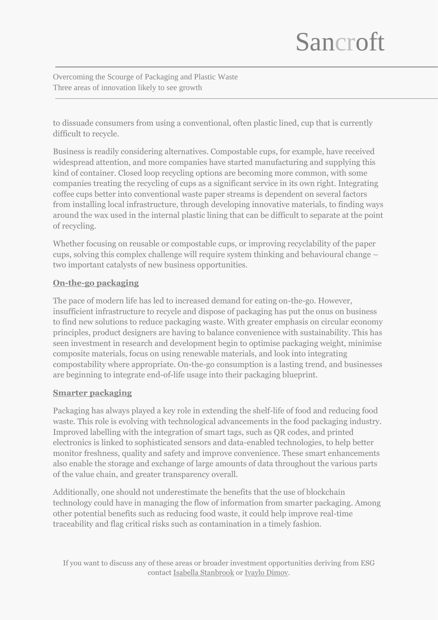# Sancroft

Overcoming the Scourge of Packaging and Plastic Waste Three areas of innovation likely to see growth

to dissuade consumers from using a conventional, often plastic lined, cup that is currently difficult to recycle.

Business is readily considering alternatives. Compostable cups, for example, have received widespread attention, and more companies have started manufacturing and supplying this kind of container. Closed loop recycling options are becoming more common, with some companies treating the recycling of cups as a significant service in its own right. Integrating coffee cups better into conventional waste paper streams is dependent on several factors from installing local infrastructure, through developing innovative materials, to finding ways around the wax used in the internal plastic lining that can be difficult to separate at the point of recycling.

Whether focusing on reusable or compostable cups, or improving recyclability of the paper cups, solving this complex challenge will require system thinking and behavioural change – two important catalysts of new business opportunities.

#### **On-the-go packaging**

The pace of modern life has led to increased demand for eating on-the-go. However, insufficient infrastructure to recycle and dispose of packaging has put the onus on business to find new solutions to reduce packaging waste. With greater emphasis on circular economy principles, product designers are having to balance convenience with sustainability. This has seen investment in research and development begin to optimise packaging weight, minimise composite materials, focus on using renewable materials, and look into integrating compostability where appropriate. On-the-go consumption is a lasting trend, and businesses are beginning to integrate end-of-life usage into their packaging blueprint.

#### **Smarter packaging**

Packaging has always played a key role in extending the shelf-life of food and reducing food waste. This role is evolving with technological advancements in the food packaging industry. Improved labelling with the integration of smart tags, such as QR codes, and printed electronics is linked to sophisticated sensors and data-enabled technologies, to help better monitor freshness, quality and safety and improve convenience. These smart enhancements also enable the storage and exchange of large amounts of data throughout the various parts of the value chain, and greater transparency overall.

Additionally, one should not underestimate the benefits that the use of blockchain technology could have in managing the flow of information from smarter packaging. Among other potential benefits such as reducing food waste, it could help improve real-time traceability and flag critical risks such as contamination in a timely fashion.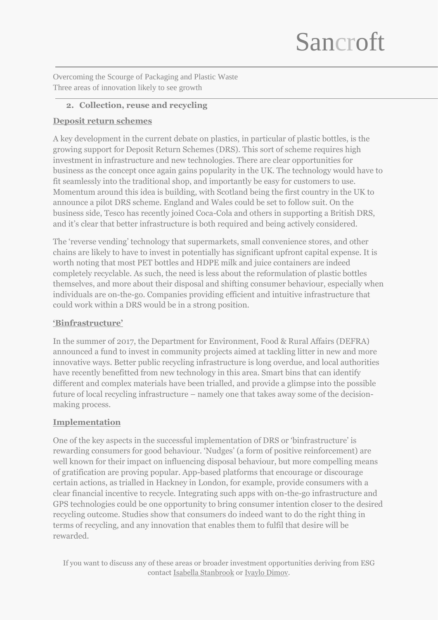# Sancroft

Overcoming the Scourge of Packaging and Plastic Waste Three areas of innovation likely to see growth

#### **2. Collection, reuse and recycling**

#### **Deposit return schemes**

A key development in the current debate on plastics, in particular of plastic bottles, is the growing support for Deposit Return Schemes (DRS). This sort of scheme requires high investment in infrastructure and new technologies. There are clear opportunities for business as the concept once again gains popularity in the UK. The technology would have to fit seamlessly into the traditional shop, and importantly be easy for customers to use. Momentum around this idea is building, with Scotland being the first country in the UK to announce a pilot DRS scheme. England and Wales could be set to follow suit. On the business side, Tesco has recently joined Coca-Cola and others in supporting a British DRS, and it's clear that better infrastructure is both required and being actively considered.

The 'reverse vending' technology that supermarkets, small convenience stores, and other chains are likely to have to invest in potentially has significant upfront capital expense. It is worth noting that most PET bottles and HDPE milk and juice containers are indeed completely recyclable. As such, the need is less about the reformulation of plastic bottles themselves, and more about their disposal and shifting consumer behaviour, especially when individuals are on-the-go. Companies providing efficient and intuitive infrastructure that could work within a DRS would be in a strong position.

### **'Binfrastructure'**

In the summer of 2017, the Department for Environment, Food & Rural Affairs (DEFRA) announced a fund to invest in community projects aimed at tackling litter in new and more innovative ways. Better public recycling infrastructure is long overdue, and local authorities have recently benefitted from new technology in this area. Smart bins that can identify different and complex materials have been trialled, and provide a glimpse into the possible future of local recycling infrastructure – namely one that takes away some of the decisionmaking process.

#### **Implementation**

One of the key aspects in the successful implementation of DRS or 'binfrastructure' is rewarding consumers for good behaviour. 'Nudges' (a form of positive reinforcement) are well known for their impact on influencing disposal behaviour, but more compelling means of gratification are proving popular. App-based platforms that encourage or discourage certain actions, as trialled in Hackney in London, for example, provide consumers with a clear financial incentive to recycle. Integrating such apps with on-the-go infrastructure and GPS technologies could be one opportunity to bring consumer intention closer to the desired recycling outcome. Studies show that consumers do indeed want to do the right thing in terms of recycling, and any innovation that enables them to fulfil that desire will be rewarded.

If you want to discuss any of these areas or broader investment opportunities deriving from ESG contac[t Isabella Stanbrook](mailto:Isabella.Stanbrook@sancroft.com?subject=ESG%20Intergation%20inquery) o[r Ivaylo Dimov.](mailto:ivaylo.dimov@sancroft.com?subject=ESG%20intergation%20inquiry)